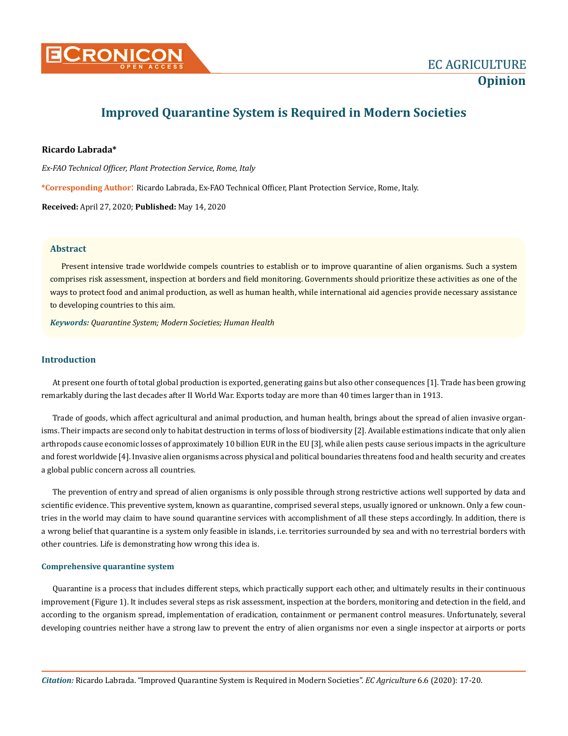

# **Improved Quarantine System is Required in Modern Societies**

### **Ricardo Labrada\***

*Ex-FAO Technical Officer, Plant Protection Service, Rome, Italy*

**\*Corresponding Author**: Ricardo Labrada, Ex-FAO Technical Officer, Plant Protection Service, Rome, Italy.

**Received:** April 27, 2020; **Published:** May 14, 2020

### **Abstract**

Present intensive trade worldwide compels countries to establish or to improve quarantine of alien organisms. Such a system comprises risk assessment, inspection at borders and field monitoring. Governments should prioritize these activities as one of the ways to protect food and animal production, as well as human health, while international aid agencies provide necessary assistance to developing countries to this aim.

*Keywords: Quarantine System; Modern Societies; Human Health*

## **Introduction**

At present one fourth of total global production is exported, generating gains but also other consequences [1]. Trade has been growing remarkably during the last decades after II World War. Exports today are more than 40 times larger than in 1913.

Trade of goods, which affect agricultural and animal production, and human health, brings about the spread of alien invasive organisms. Their impacts are second only to habitat destruction in terms of loss of biodiversity [2]. Available estimations indicate that only alien arthropods cause economic losses of approximately 10 billion EUR in the EU [3], while alien pests cause serious impacts in the agriculture and forest worldwide [4]. Invasive alien organisms across physical and political boundaries threatens food and health security and creates a global public concern across all countries.

The prevention of entry and spread of alien organisms is only possible through strong restrictive actions well supported by data and scientific evidence. This preventive system, known as quarantine, comprised several steps, usually ignored or unknown. Only a few countries in the world may claim to have sound quarantine services with accomplishment of all these steps accordingly. In addition, there is a wrong belief that quarantine is a system only feasible in islands, i.e. territories surrounded by sea and with no terrestrial borders with other countries. Life is demonstrating how wrong this idea is.

### **Comprehensive quarantine system**

Quarantine is a process that includes different steps, which practically support each other, and ultimately results in their continuous improvement (Figure 1). It includes several steps as risk assessment, inspection at the borders, monitoring and detection in the field, and according to the organism spread, implementation of eradication, containment or permanent control measures. Unfortunately, several developing countries neither have a strong law to prevent the entry of alien organisms nor even a single inspector at airports or ports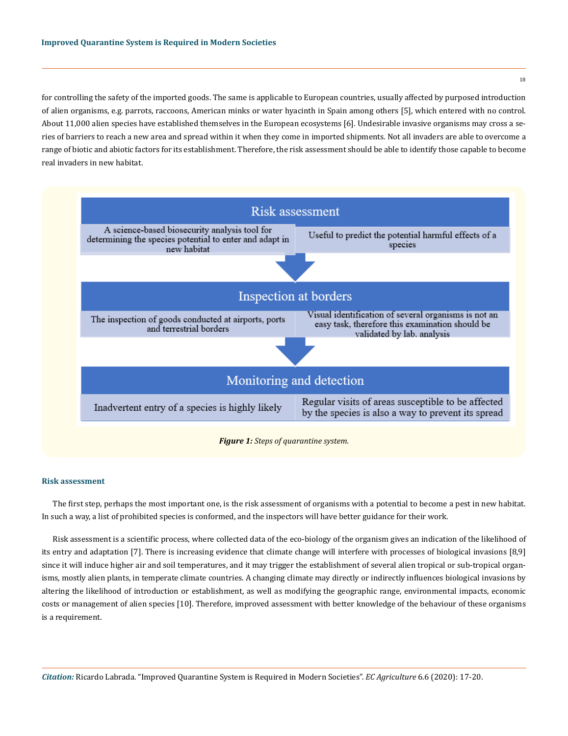for controlling the safety of the imported goods. The same is applicable to European countries, usually affected by purposed introduction of alien organisms, e.g. parrots, raccoons, American minks or water hyacinth in Spain among others [5], which entered with no control. About 11,000 alien species have established themselves in the European ecosystems [6]. Undesirable invasive organisms may cross a series of barriers to reach a new area and spread within it when they come in imported shipments*.* Not all invaders are able to overcome a range of biotic and abiotic factors for its establishment. Therefore, the risk assessment should be able to identify those capable to become real invaders in new habitat.





The first step, perhaps the most important one, is the risk assessment of organisms with a potential to become a pest in new habitat. In such a way, a list of prohibited species is conformed, and the inspectors will have better guidance for their work.

Risk assessment is a scientific process, where collected data of the eco-biology of the organism gives an indication of the likelihood of its entry and adaptation [7]. There is increasing evidence that climate change will interfere with processes of biological invasions [8,9] since it will induce higher air and soil temperatures, and it may trigger the establishment of several alien tropical or sub-tropical organisms, mostly alien plants, in temperate climate countries. A changing climate may directly or indirectly influences biological invasions by altering the likelihood of introduction or establishment, as well as modifying the geographic range, environmental impacts, economic costs or management of alien species [10]. Therefore, improved assessment with better knowledge of the behaviour of these organisms is a requirement.

18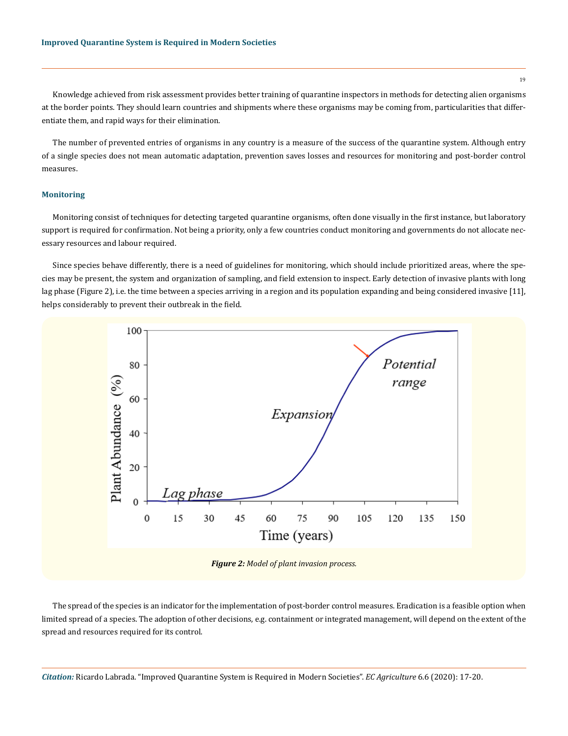Knowledge achieved from risk assessment provides better training of quarantine inspectors in methods for detecting alien organisms at the border points. They should learn countries and shipments where these organisms may be coming from, particularities that differentiate them, and rapid ways for their elimination.

The number of prevented entries of organisms in any country is a measure of the success of the quarantine system. Although entry of a single species does not mean automatic adaptation, prevention saves losses and resources for monitoring and post-border control measures.

## **Monitoring**

Monitoring consist of techniques for detecting targeted quarantine organisms, often done visually in the first instance, but laboratory support is required for confirmation. Not being a priority, only a few countries conduct monitoring and governments do not allocate necessary resources and labour required.

Since species behave differently, there is a need of guidelines for monitoring, which should include prioritized areas, where the species may be present, the system and organization of sampling, and field extension to inspect. Early detection of invasive plants with long lag phase (Figure 2), i.e. the time between a species arriving in a region and its population expanding and being considered invasive [11], helps considerably to prevent their outbreak in the field.



*Figure 2: Model of plant invasion process.*

The spread of the species is an indicator for the implementation of post-border control measures. Eradication is a feasible option when limited spread of a species. The adoption of other decisions, e.g. containment or integrated management, will depend on the extent of the spread and resources required for its control.

*Citation:* Ricardo Labrada. "Improved Quarantine System is Required in Modern Societies". *EC Agriculture* 6.6 (2020): 17-20.

19